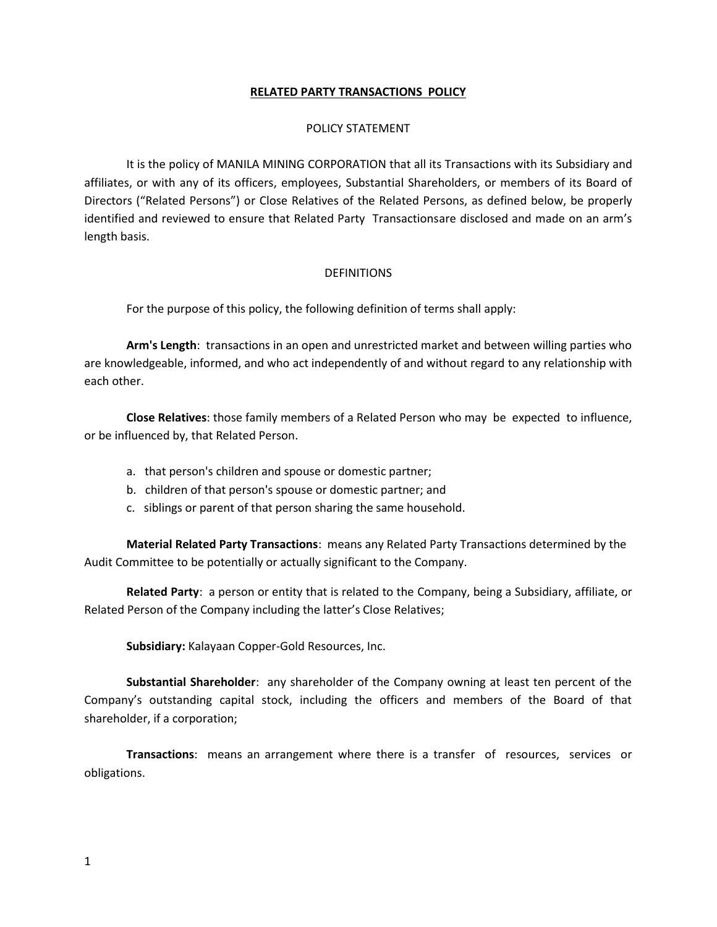## **RELATED PARTY TRANSACTIONS POLICY**

### POLICY STATEMENT

It is the policy of MANILA MINING CORPORATION that all its Transactions with its Subsidiary and affiliates, or with any of its officers, employees, Substantial Shareholders, or members of its Board of Directors ("Related Persons") or Close Relatives of the Related Persons, as defined below, be properly identified and reviewed to ensure that Related Party Transactionsare disclosed and made on an arm's length basis.

### **DEFINITIONS**

For the purpose of this policy, the following definition of terms shall apply:

**Arm's Length**: transactions in an open and unrestricted market and between willing parties who are knowledgeable, informed, and who act independently of and without regard to any relationship with each other.

**Close Relatives**: those family members of a Related Person who may be expected to influence, or be influenced by, that Related Person.

- a. that person's children and spouse or domestic partner;
- b. children of that person's spouse or domestic partner; and
- c. siblings or parent of that person sharing the same household.

**Material Related Party Transactions**: means any Related Party Transactions determined by the Audit Committee to be potentially or actually significant to the Company.

**Related Party**: a person or entity that is related to the Company, being a Subsidiary, affiliate, or Related Person of the Company including the latter's Close Relatives;

**Subsidiary:** Kalayaan Copper-Gold Resources, Inc.

**Substantial Shareholder**: any shareholder of the Company owning at least ten percent of the Company's outstanding capital stock, including the officers and members of the Board of that shareholder, if a corporation;

**Transactions**: means an arrangement where there is a transfer of resources, services or obligations.